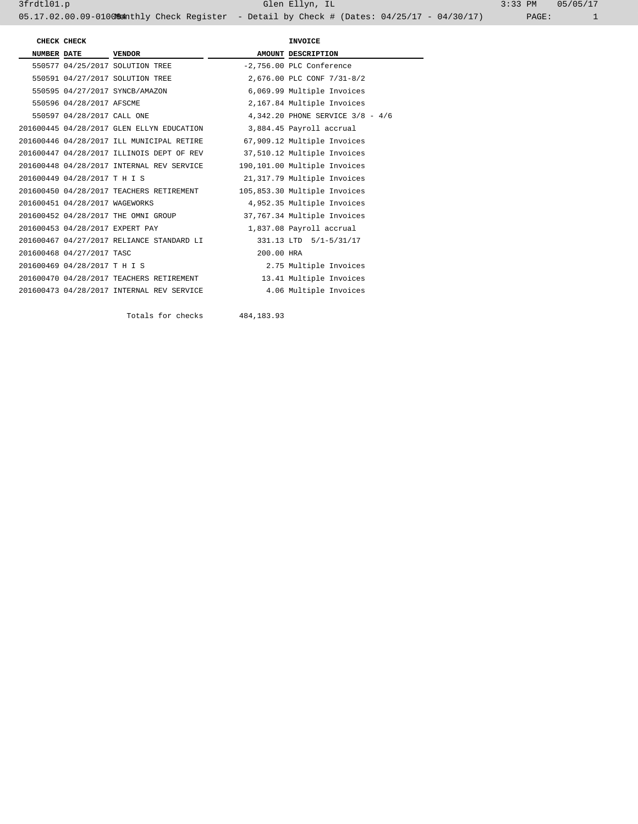| CHECK CHECK        |                                 |                                           | INVOICE                  |                                  |  |  |
|--------------------|---------------------------------|-------------------------------------------|--------------------------|----------------------------------|--|--|
| <b>NUMBER DATE</b> |                                 | <b>VENDOR</b>                             |                          | AMOUNT DESCRIPTION               |  |  |
|                    |                                 | 550577 04/25/2017 SOLUTION TREE           |                          | -2,756.00 PLC Conference         |  |  |
|                    |                                 | 550591 04/27/2017 SOLUTION TREE           |                          | 2,676.00 PLC CONF 7/31-8/2       |  |  |
|                    |                                 | 550595 04/27/2017 SYNCB/AMAZON            |                          | 6,069.99 Multiple Invoices       |  |  |
|                    | 550596 04/28/2017 AFSCME        |                                           |                          | 2,167.84 Multiple Invoices       |  |  |
|                    | 550597 04/28/2017 CALL ONE      |                                           |                          | 4,342.20 PHONE SERVICE 3/8 - 4/6 |  |  |
|                    |                                 | 201600445 04/28/2017 GLEN ELLYN EDUCATION | 3,884.45 Payroll accrual |                                  |  |  |
|                    |                                 | 201600446 04/28/2017 ILL MUNICIPAL RETIRE |                          | 67,909.12 Multiple Invoices      |  |  |
|                    |                                 | 201600447 04/28/2017 ILLINOIS DEPT OF REV |                          | 37,510.12 Multiple Invoices      |  |  |
|                    |                                 | 201600448 04/28/2017 INTERNAL REV SERVICE |                          | 190,101.00 Multiple Invoices     |  |  |
|                    | 201600449 04/28/2017 T H I S    |                                           |                          | 21,317.79 Multiple Invoices      |  |  |
|                    |                                 | 201600450 04/28/2017 TEACHERS RETIREMENT  |                          | 105,853.30 Multiple Invoices     |  |  |
|                    | 201600451 04/28/2017 WAGEWORKS  |                                           |                          | 4,952.35 Multiple Invoices       |  |  |
|                    |                                 | 201600452 04/28/2017 THE OMNI GROUP       |                          | 37,767.34 Multiple Invoices      |  |  |
|                    | 201600453 04/28/2017 EXPERT PAY |                                           |                          | 1,837.08 Payroll accrual         |  |  |
|                    |                                 | 201600467 04/27/2017 RELIANCE STANDARD LI |                          | 331.13 LTD 5/1-5/31/17           |  |  |
|                    | 201600468 04/27/2017 TASC       |                                           | 200.00 HRA               |                                  |  |  |
|                    | 201600469 04/28/2017 T H I S    |                                           |                          | 2.75 Multiple Invoices           |  |  |
|                    |                                 | 201600470 04/28/2017 TEACHERS RETIREMENT  |                          | 13.41 Multiple Invoices          |  |  |
|                    |                                 | 201600473 04/28/2017 INTERNAL REV SERVICE |                          | 4.06 Multiple Invoices           |  |  |

Totals for checks 484,183.93